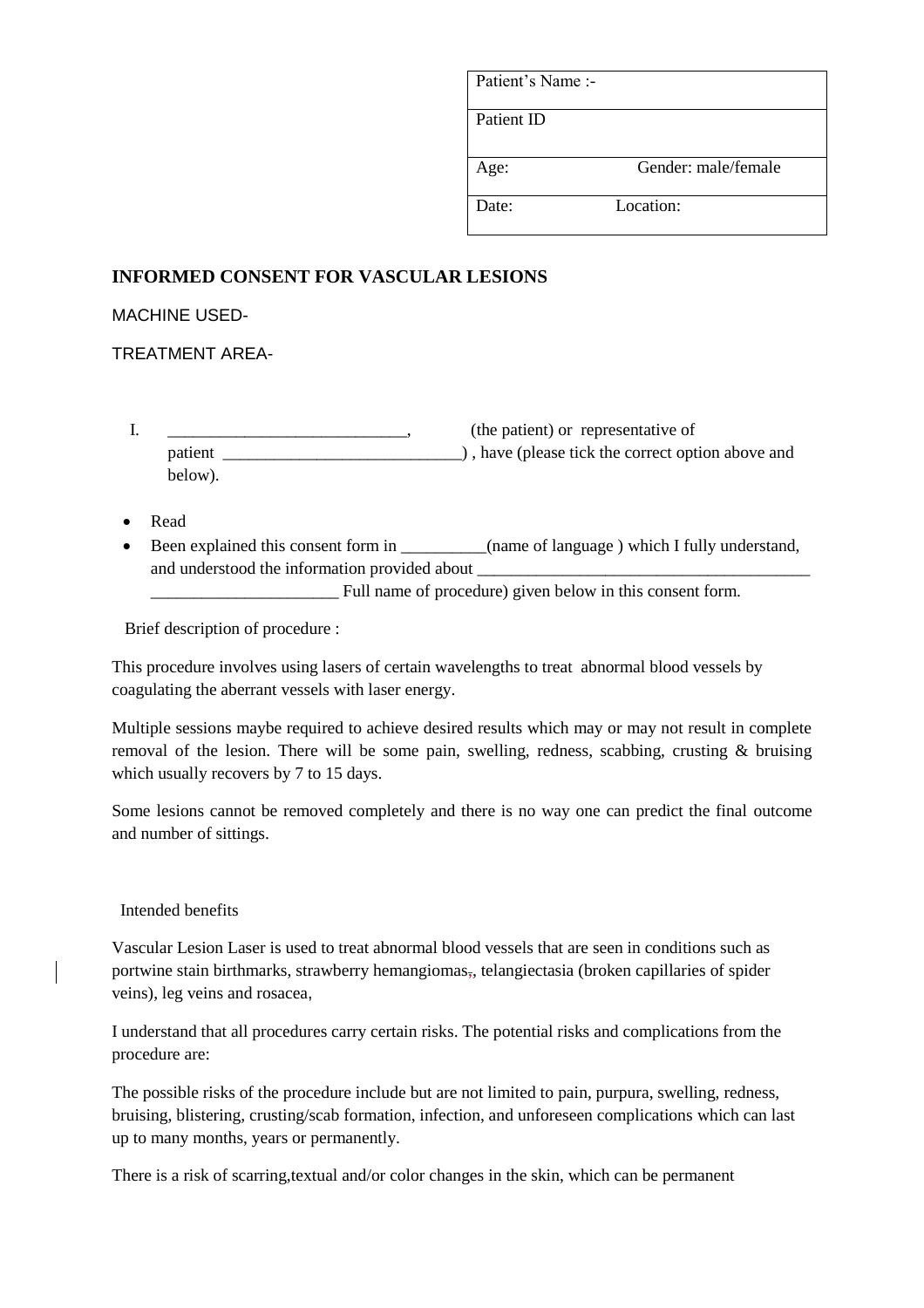| Patient's Name :- |                     |
|-------------------|---------------------|
| Patient ID        |                     |
| Age:              | Gender: male/female |
| Date:             | Location:           |

## **INFORMED CONSENT FOR VASCULAR LESIONS**

MACHINE USED-

TREATMENT AREA-

- I. \_\_\_\_\_\_\_\_\_\_\_\_\_\_\_\_\_\_\_\_\_\_\_\_\_\_\_\_\_\_\_\_, (the patient) or representative of patient \_\_\_\_\_\_\_\_\_\_\_\_\_\_\_\_\_\_\_\_\_\_\_\_\_\_\_\_) , have (please tick the correct option above and below).
- Read
- Been explained this consent form in \_\_\_\_\_\_\_(name of language ) which I fully understand, and understood the information provided about \_

\_\_\_\_\_\_\_\_\_\_\_\_\_\_\_\_\_\_\_\_\_\_ Full name of procedure) given below in this consent form.

Brief description of procedure :

This procedure involves using lasers of certain wavelengths to treat abnormal blood vessels by coagulating the aberrant vessels with laser energy.

Multiple sessions maybe required to achieve desired results which may or may not result in complete removal of the lesion. There will be some pain, swelling, redness, scabbing, crusting & bruising which usually recovers by 7 to 15 days.

Some lesions cannot be removed completely and there is no way one can predict the final outcome and number of sittings.

## Intended benefits

Vascular Lesion Laser is used to treat abnormal blood vessels that are seen in conditions such as portwine stain birthmarks, strawberry hemangiomas,, telangiectasia (broken capillaries of spider veins), leg veins and rosacea,

I understand that all procedures carry certain risks. The potential risks and complications from the procedure are:

The possible risks of the procedure include but are not limited to pain, purpura, swelling, redness, bruising, blistering, crusting/scab formation, infection, and unforeseen complications which can last up to many months, years or permanently.

There is a risk of scarring,textual and/or color changes in the skin, which can be permanent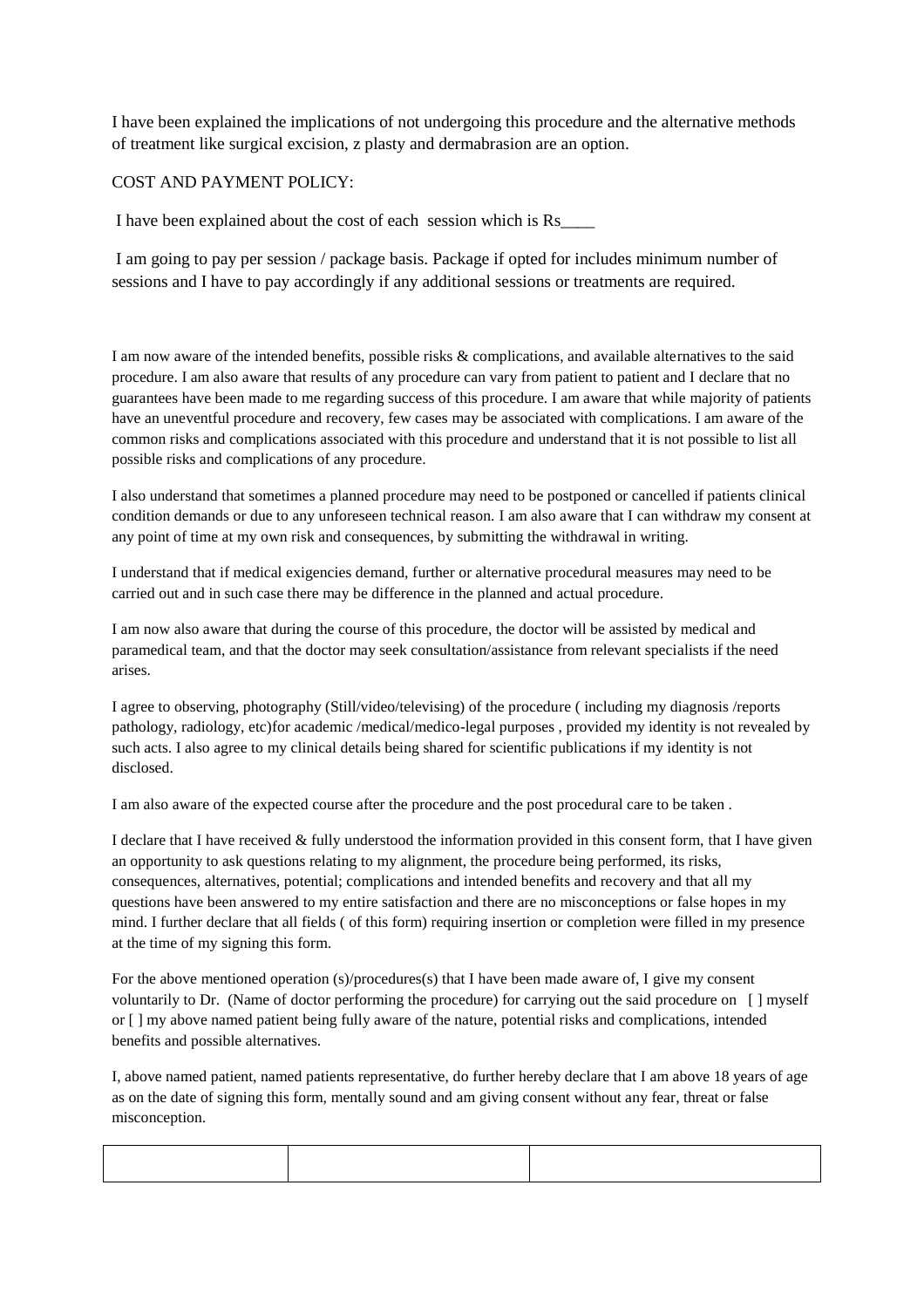I have been explained the implications of not undergoing this procedure and the alternative methods of treatment like surgical excision, z plasty and dermabrasion are an option.

## COST AND PAYMENT POLICY:

I have been explained about the cost of each session which is Rs\_\_\_\_

I am going to pay per session / package basis. Package if opted for includes minimum number of sessions and I have to pay accordingly if any additional sessions or treatments are required.

I am now aware of the intended benefits, possible risks & complications, and available alternatives to the said procedure. I am also aware that results of any procedure can vary from patient to patient and I declare that no guarantees have been made to me regarding success of this procedure. I am aware that while majority of patients have an uneventful procedure and recovery, few cases may be associated with complications. I am aware of the common risks and complications associated with this procedure and understand that it is not possible to list all possible risks and complications of any procedure.

I also understand that sometimes a planned procedure may need to be postponed or cancelled if patients clinical condition demands or due to any unforeseen technical reason. I am also aware that I can withdraw my consent at any point of time at my own risk and consequences, by submitting the withdrawal in writing.

I understand that if medical exigencies demand, further or alternative procedural measures may need to be carried out and in such case there may be difference in the planned and actual procedure.

I am now also aware that during the course of this procedure, the doctor will be assisted by medical and paramedical team, and that the doctor may seek consultation/assistance from relevant specialists if the need arises.

I agree to observing, photography (Still/video/televising) of the procedure ( including my diagnosis /reports pathology, radiology, etc)for academic /medical/medico-legal purposes , provided my identity is not revealed by such acts. I also agree to my clinical details being shared for scientific publications if my identity is not disclosed.

I am also aware of the expected course after the procedure and the post procedural care to be taken .

I declare that I have received & fully understood the information provided in this consent form, that I have given an opportunity to ask questions relating to my alignment, the procedure being performed, its risks, consequences, alternatives, potential; complications and intended benefits and recovery and that all my questions have been answered to my entire satisfaction and there are no misconceptions or false hopes in my mind. I further declare that all fields ( of this form) requiring insertion or completion were filled in my presence at the time of my signing this form.

For the above mentioned operation (s)/procedures(s) that I have been made aware of, I give my consent voluntarily to Dr. (Name of doctor performing the procedure) for carrying out the said procedure on [ ] myself or [ ] my above named patient being fully aware of the nature, potential risks and complications, intended benefits and possible alternatives.

I, above named patient, named patients representative, do further hereby declare that I am above 18 years of age as on the date of signing this form, mentally sound and am giving consent without any fear, threat or false misconception.